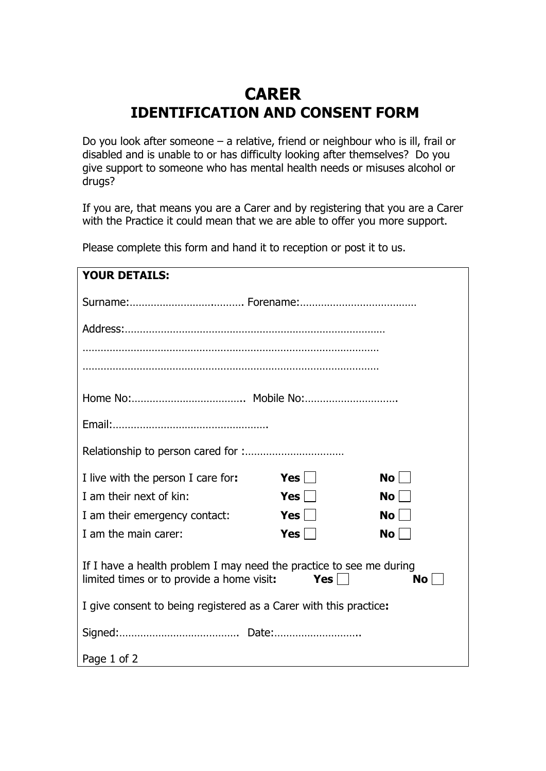## **CARER IDENTIFICATION AND CONSENT FORM**

Do you look after someone – a relative, friend or neighbour who is ill, frail or disabled and is unable to or has difficulty looking after themselves? Do you give support to someone who has mental health needs or misuses alcohol or drugs?

If you are, that means you are a Carer and by registering that you are a Carer with the Practice it could mean that we are able to offer you more support.

**YOUR DETAILS:** Surname:……………………….………. Forename:………………………………… Address:…………………………………………………………………………… ……………………………………………………………………………………… ……………………………………………………………………………………… Home No:……………………………….. Mobile No:…………………………. Email:……………………………………………. Relationship to person cared for :…………………………… I live with the person I care for: **Yes**  $\Box$  **No**  $\Box$ I am their next of kin: **Yes**  $\Box$  **No**  $\Box$ I am their emergency contact: **Yes** I am the main carer: **Yes**  $\Box$  **No**  $\Box$ If I have a health problem I may need the practice to see me during  $\blacksquare$  limited times or to provide a home visit: **Yes**  $\blacksquare$  **No**  $\blacksquare$ I give consent to being registered as a Carer with this practice**:** Signed:…………………………………. Date:………………………..

Page 1 of 2

Please complete this form and hand it to reception or post it to us.